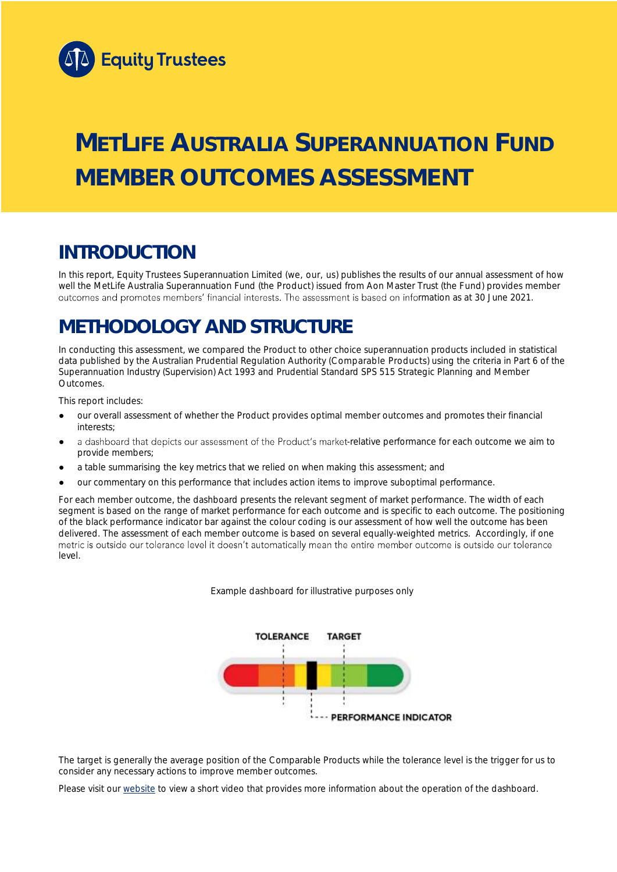

# **METLIFE AUSTRALIA SUPERANNUATION FUND MEMBER OUTCOMES ASSESSMENT**

## **INTRODUCTION**

In this report, Equity Trustees Superannuation Limited (we, our, us) publishes the results of our annual assessment of how well the MetLife Australia Superannuation Fund (the Product) issued from Aon Master Trust (the Fund) provides member outcomes and promotes members' financial interests. The assessment is based on information as at 30 June 2021.

## **METHODOLOGY AND STRUCTURE**

In conducting this assessment, we compared the Product to other choice superannuation products included in statistical data published by the Australian Prudential Regulation Authority (Comparable Products) using the criteria in Part 6 of the *Superannuation Industry (Supervision) Act 1993* and Prudential Standard SPS 515 *Strategic Planning and Member Outcomes*.

This report includes:

- our overall assessment of whether the Product provides optimal member outcomes and promotes their financial interests;
- a dashboard that depicts our assessment of the Product's market-relative performance for each outcome we aim to provide members;
- a table summarising the key metrics that we relied on when making this assessment; and
- our commentary on this performance that includes action items to improve suboptimal performance.

For each member outcome, the dashboard presents the relevant segment of market performance. The width of each segment is based on the range of market performance for each outcome and is specific to each outcome. The positioning of the black performance indicator bar against the colour coding is our assessment of how well the outcome has been delivered. The assessment of each member outcome is based on several equally-weighted metrics. Accordingly, if one<br>metric is outside our tolerance level it doesn't automatically mean the entire member outcome is outside ou level.

*Example dashboard for illustrative purposes only*



The target is generally the average position of the Comparable Products while the tolerance level is the trigger for us to consider any necessary actions to improve member outcomes.

Please visit our [website](https://www.eqt.com.au/superannuation) to view a short video that provides more information about the operation of the dashboard.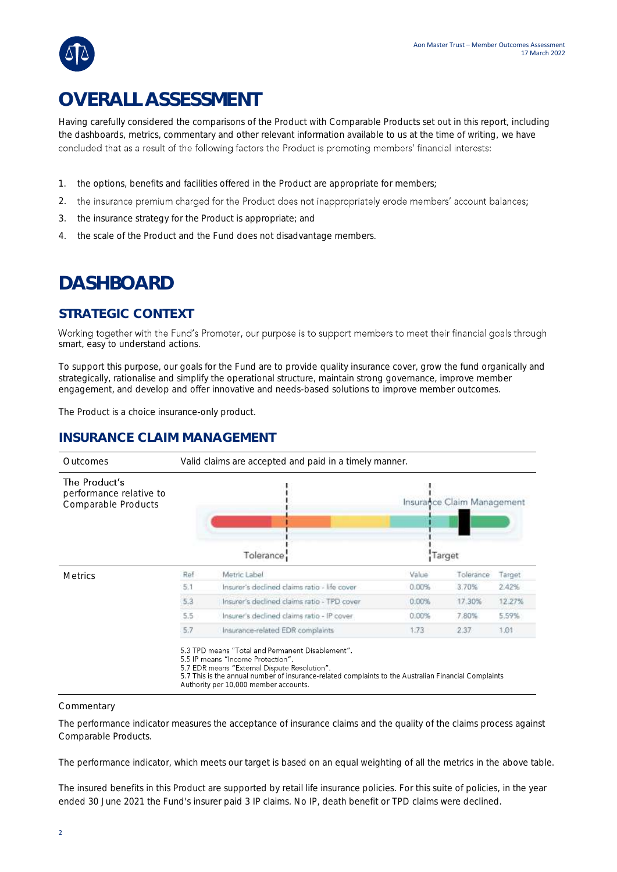## **OVERALL ASSESSMENT**

Having carefully considered the comparisons of the Product with Comparable Products set out in this report, including the dashboards, metrics, commentary and other relevant information available to us at the time of writing, we have concluded that as a result of the following factors the Product is promoting members' financial interests:

- 1. the options, benefits and facilities offered in the Product are appropriate for members;
- 2. the insurance premium charged for the Product does not inappropriately erode members' account balances;
- 3. the insurance strategy for the Product is appropriate; and
- 4. the scale of the Product and the Fund does not disadvantage members.

## **DASHBOARD**

### **STRATEGIC CONTEXT**

Working together with the Fund's Promoter, our purpose is to support members to meet their financial goals through smart, easy to understand actions.

To support this purpose, our goals for the Fund are to provide quality insurance cover, grow the fund organically and strategically, rationalise and simplify the operational structure, maintain strong governance, improve member engagement, and develop and offer innovative and needs-based solutions to improve member outcomes.

The Product is a choice insurance-only product.

### **INSURANCE CLAIM MANAGEMENT**



#### **Commentary**

The performance indicator measures the acceptance of insurance claims and the quality of the claims process against Comparable Products.

The performance indicator, which meets our target is based on an equal weighting of all the metrics in the above table.

The insured benefits in this Product are supported by retail life insurance policies. For this suite of policies, in the year ended 30 June 2021 the Fund's insurer paid 3 IP claims. No IP, death benefit or TPD claims were declined.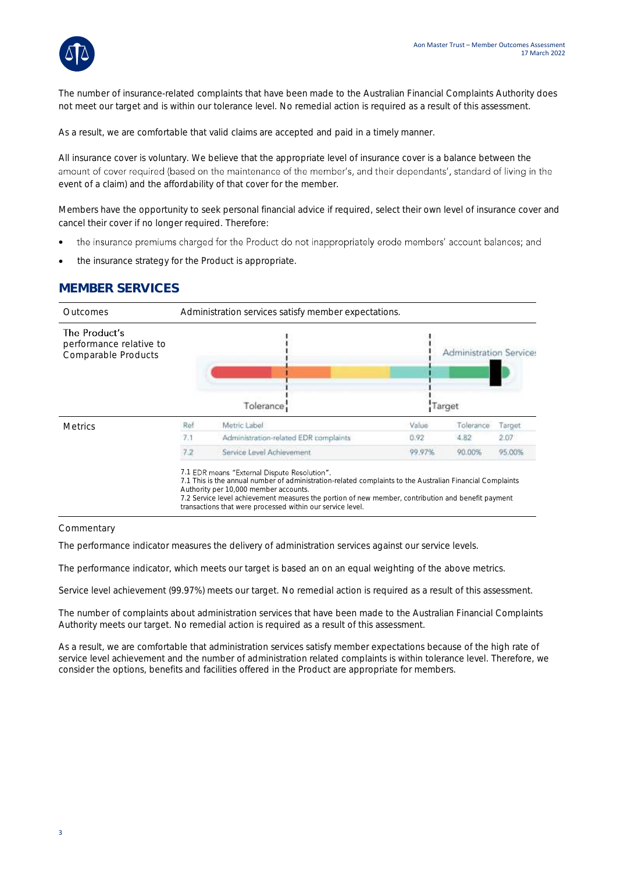

The number of insurance-related complaints that have been made to the Australian Financial Complaints Authority does not meet our target and is within our tolerance level. No remedial action is required as a result of this assessment.

As a result, we are comfortable that valid claims are accepted and paid in a timely manner.

All insurance cover is voluntary. We believe that the appropriate level of insurance cover is a balance between the amount of cover required (based on the maintenance of the member's, and their dependants', standard of living in the event of a claim) and the affordability of that cover for the member.

Members have the opportunity to seek personal financial advice if required, select their own level of insurance cover and cancel their cover if no longer required. Therefore:

- the insurance premiums charged for the Product do not inappropriately erode members' account balances; and •
- the insurance strategy for the Product is appropriate.

### **MEMBER SERVICES**



#### **Commentary**

The performance indicator measures the delivery of administration services against our service levels.

The performance indicator, which meets our target is based an on an equal weighting of the above metrics.

Service level achievement (99.97%) meets our target. No remedial action is required as a result of this assessment.

The number of complaints about administration services that have been made to the Australian Financial Complaints Authority meets our target. No remedial action is required as a result of this assessment.

As a result, we are comfortable that administration services satisfy member expectations because of the high rate of service level achievement and the number of administration related complaints is within tolerance level. Therefore, we consider the options, benefits and facilities offered in the Product are appropriate for members.